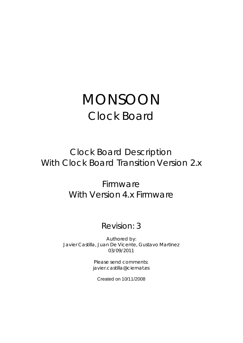# MONSOON Clock Board

## Clock Board Description With Clock Board Transition Version 2.x

Firmware With Version 4.x Firmware

## Revision: 3

Authored by: Javier Castilla, Juan De Vicente, Gustavo Martinez 03/09/2011

> Please send comments: javier.castilla@ciemat.es

Created on 10/11/2008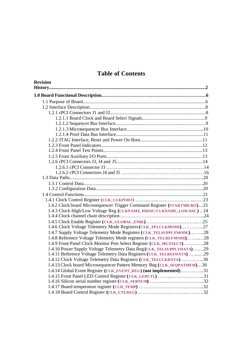## **Table of Contents**

| <b>Revision</b>                                                          |  |
|--------------------------------------------------------------------------|--|
|                                                                          |  |
|                                                                          |  |
|                                                                          |  |
|                                                                          |  |
|                                                                          |  |
|                                                                          |  |
|                                                                          |  |
|                                                                          |  |
|                                                                          |  |
|                                                                          |  |
|                                                                          |  |
|                                                                          |  |
|                                                                          |  |
|                                                                          |  |
|                                                                          |  |
|                                                                          |  |
|                                                                          |  |
|                                                                          |  |
|                                                                          |  |
|                                                                          |  |
| 1.4.2 Clock board Microsequencer Trigger Command Register (STARTMICRO)23 |  |
| 1.4.3 Clock High/Low Voltage Reg (CLKNAME_HIDAC/CLKNAME_LOWDAC)24        |  |
|                                                                          |  |
|                                                                          |  |
| 1.4.6 Clock Voltage Telemetry Mode Registers (CLK_TELCLKMODE)27          |  |
| 1.4.7 Supply Voltage Telemetry Mode Registers (CLK_TELSUPPLYMODE)28      |  |
| 1.4.8 Reference Voltage Telemetry Mode registers (CLK_TELREFMODE)28      |  |
| 1.4.9 Front Panel Clock Monitor Port Select Register (CLK_MUXSLCT)28     |  |
| 1.4.10 Power Supply Voltage Telemetry Data Reg (CLK_TELSUPPLYDATA)29     |  |
| 1.4.11 Reference Voltage Telemetry Data Registers (CLK_TELREFDATA) 29    |  |
| 1.4.12 Clock Voltage Telemetry Data Registers (CLK_TELCLKDATA) 30        |  |
| 1.4.13 Clock board Microsequencer Pattern Memory Reg (CLK_SEQPATMEM)30   |  |
| 1.4.14 Global Event Register (CLK_EVENT_REG) (not implemented)31         |  |
| 1.4.15 Front Panel LED Control Register (CLK_LEDCTL) 31                  |  |
|                                                                          |  |
|                                                                          |  |
|                                                                          |  |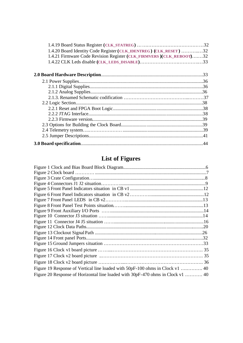| 1.4.20 Board Identity Code Register (CLK_IDENTREG) (CLK_RESET) 32   |  |
|---------------------------------------------------------------------|--|
| 1.4.21 Firmware Code Revision Register (CLK_FIRMVERS)(CLK_REBOOT)32 |  |
|                                                                     |  |
|                                                                     |  |
|                                                                     |  |
|                                                                     |  |
|                                                                     |  |
|                                                                     |  |
|                                                                     |  |
|                                                                     |  |
|                                                                     |  |
|                                                                     |  |
|                                                                     |  |
|                                                                     |  |
|                                                                     |  |
|                                                                     |  |

## **List of Figures**

| Figure 19 Response of Vertical line loaded with 50pF-100 ohms in Clock v1  40   |  |
|---------------------------------------------------------------------------------|--|
| Figure 20 Response of Horizontal line loaded with 30pF-470 ohms in Clock v1  40 |  |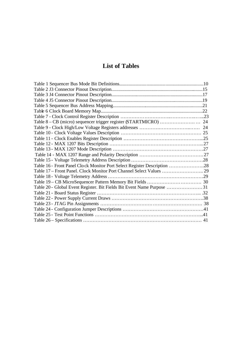## **List of Tables**

| Table 16 - Front Panel Clock Monitor Port Select Register Description 28 |  |
|--------------------------------------------------------------------------|--|
|                                                                          |  |
|                                                                          |  |
|                                                                          |  |
|                                                                          |  |
|                                                                          |  |
|                                                                          |  |
|                                                                          |  |
|                                                                          |  |
|                                                                          |  |
|                                                                          |  |
|                                                                          |  |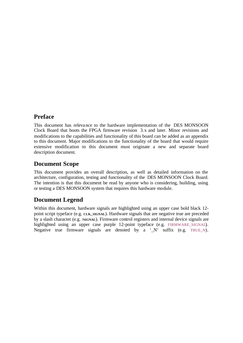## **Preface**

This document has relevance to the hardware implementation of the DES MONSOON Clock Board that boots the FPGA firmware revision 3.x and later. Minor revisions and modifications to the capabilities and functionality of this board can be added as an appendix to this document. Major modifications to the functionality of the board that would require extensive modification to this document must originate a new and separate board description document.

## **Document Scope**

This document provides an overall description, as well as detailed information on the architecture, configuration, testing and functionality of the DES MONSOON Clock Board. The intention is that this document be read by anyone who is considering, building, using or testing a DES MONSOON system that requires this hardware module.

## **Document Legend**

Within this document, hardware signals are highlighted using an upper case bold black 12 point script typeface (e.g. **CLK\_SIGNAL**). Hardware signals that are negative true are preceded by a slash character (e.g. **/SIGNAL**). Firmware control registers and internal device signals are highlighted using an upper case purple 12-point typeface (e.g. FIRMWARE\_SIGNAL). Negative true firmware signals are denoted by a  $\cdot N$  suffix (e.g. TRUE\_N).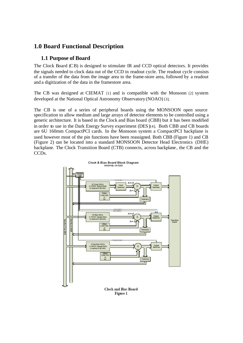## **1.0 Board Functional Description**

#### **1.1 Purpose of Board**

The Clock Board (CB) is designed to stimulate IR and CCD optical detectors. It provides the signals needed to clock data out of the CCD in readout cycle. The readout cycle consists of a transfer of the data from the image area to the frame-store area, followed by a readout and a digitization of the data in the framestore area.

The CB was designed at CIEMAT [1] and is compatible with the Monsoon [2] system developed at the National Optical Astronomy Observatory (NOAO) [3].

The CB is one of a series of peripheral boards using the MONSOON open source specification to allow medium and large arrays of detector elements to be controlled using a generic architecture. It is based in the Clock and Bias board (CBB) but it has been modified in order to use in the Dark Energy Survey experiment (DES)[4]. Both CBB and CB boards are 6U 160mm CompactPCI cards. In the Monsoon system a CompactPCI backplane is used however most of the pin functions have been reassigned. Both CBB (Figure 1) and CB (Figure 2) can be located into a standard MONSOON Detector Head Electronics (DHE) backplane. The Clock Transition Board (CTB) connects, across backplane, the CB and the CCD<sub>s</sub>.

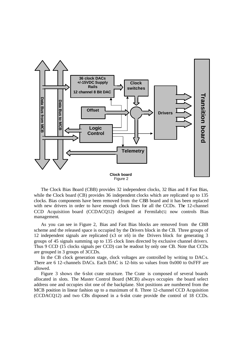

Figure 2

The Clock Bias Board (CBB) provides 32 independent clocks, 32 Bias and 8 Fast Bias, while the Clock board (CB) provides 36 independent clocks which are replicated up to 135 clocks. Bias components have been removed from the CBB board and it has been replaced with new drivers in order to have enough clock lines for all the CCDs. The 12-channel CCD Acquisition board (CCDACQ12) designed at Fermilab[5] now controls Bias management.

As you can see in Figure 2, Bias and Fast Bias blocks are removed from the CBB scheme and the released space is occupied by the Drivers block in the CB. Three groups of 12 independent signals are replicated (x3 or x6) in the Drivers block for generating 3 groups of 45 signals summing up to 135 clock lines directed by exclusive channel drivers. Thus 9 CCD (15 clocks signals per CCD) can be readout by only one CB. Note that CCDs are grouped in 3 groups of 3CCDs.

In the CB clock generation stage, clock voltages are controlled by writing to DACs. There are 6 12-channels DACs. Each DAC is 12-bits so values from 0x000 to 0xFFF are allowed.

Figure 3 shows the 6-slot crate structure. The Crate is composed of several boards allocated in slots. The Master Control Board (MCB) always occupies the board select address one and occupies slot one of the backplane. Slot positions are numbered from the MCB position in linear fashion up to a maximum of 8. Three 12-channel CCD Acquisition (CCDACQ12) and two CBs disposed in a 6-slot crate provide the control of 18 CCDs.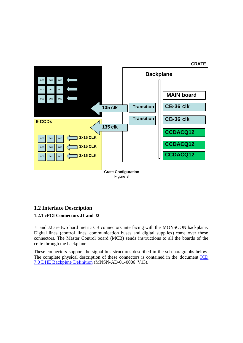

Figure 3

### **1.2 Interface Description 1.2.1 cPCI Connectors J1 and J2**

J1 and J2 are two hard metric CB connectors interfacing with the MONSOON backplane. Digital lines (control lines, communication buses and digital supplies) come over these connectors. The Master Control board (MCB) sends instructions to all the boards of the crate through the backplane.

These connectors support the signal bus structures described in the sub paragraphs below. The complete physical description of these connectors is contained in the document ICD 7.0 DHE Backplane Definition (MNSN-AD-01-0006\_V13).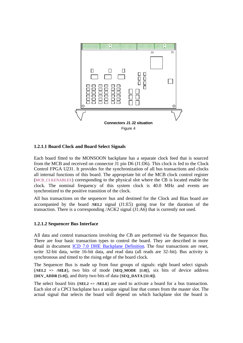

#### **1.2.1.1 Board Clock and Board Select Signals**

Each board fitted to the MONSOON backplane has a separate clock feed that is sourced from the MCB and received on connector J1 pin D6 (J1:D6). This clock is fed to the Clock Control FPGA U231. It provides for the synchronization of all bus transactions and clocks all internal functions of this board. The appropriate bit of the MCB clock control register (MCB\_CLKENABLES) corresponding to the physical slot where the CB is located enable the clock. The nominal frequency of this system clock is 40.0 MHz and events are synchronized to the positive transition of the clock.

All bus transactions on the sequencer bus and destined for the Clock and Bias board are accompanied by the board **/SEL2** signal (J1:E5) going true for the duration of the transaction. There is a corresponding /ACK2 signal (J1:A6) that is currently not used.

#### **1.2.1.2 Sequencer Bus Interface**

All data and control transactions involving the CB are performed via the Sequencer Bus. There are four basic transaction types to control the board. They are described in more detail in document ICD 7.0 DHE Backplane Definition. The four transactions are reset, write 32-bit data, write 16-bit data, and read data (all reads are 32-bit). Bus activity is synchronous and timed to the rising edge of the board clock.

The Sequencer Bus is made up from four groups of signals: eight board select signals (**/SEL2 => /SEL8**), two bits of mode (**SEQ\_MODE [1:0]**), six bits of device address (**DEV\_ADDR [5:0]**), and thirty two bits of data (**SEQ\_DATA [31:0]**).

The select board bits (**/SEL2 => /SEL8**) are used to activate a board for a bus transaction. Each slot of a CPCI backplane ha s a unique signal line that comes from the master slot. The actual signal that selects the board will depend on which backplane slot the board is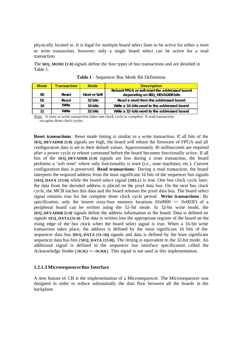physically located in. It is legal for multiple board select lines to be active for either a reset or write transaction, however; only a single board select can be active for a read transaction.

The **SEQ\_MODE [1:0]** signals define the four types of bus transactions and are detailed in Table 1.

| <b>Mode</b> | <b>Transaction</b> | <b>Mode</b>  | <b>Description</b>                            |
|-------------|--------------------|--------------|-----------------------------------------------|
|             |                    |              | Reboot FPGA or soft reset the addressed board |
| 00          | Reset              | Hard or Soft | depending on SEQ_DEVADDR bits                 |
| 01          | Read               | 32 bits      | Read a word from the addressed board          |
| 10          | Write              | 16 bits      | Write a 16-bits word to the addressed board   |
| 11          | Write              | 32 bits      | Write a 32-bits word to the addressed board   |

**Table 1 -** Sequencer Bus Mode Bit Definitions

Note: A reset or write transaction takes one clock cycle to complete. A read transaction occupies three clock cycles.

**Reset transactions**: Reset mode timing is similar to a write transaction. If all bits of the **SEQ\_DEVADDR [5:0]** signals are high, the board will reboot the firmware of FPGA and all configuration data is set to their default values. Approximately 30 milliseconds are required after a power cycle or reboot command before the board becomes functionally active. If all bits of the **SEQ\_DEVADDR [5:0]** signals are low during a reset transaction, the board performs a 'soft reset' where only functionality is reset (i.e., state machines, etc.). Current configuration data is preserved. **Read transactions**: During a read transaction, the board interprets the required address from the least significant 16 bits of the sequencer bus signals (**SEQ\_DATA [15:0]**) while the board select signal (**/SEL2**) is true. One bus clock cycle later, the data from the decoded address is placed on the pixel data bus. On the next bus clock cycle, the MCB latches this data and the board releases the pixel data bus. The board select signal remains true for the complete three clock cycle period. **Write transactions**: By specification, only the lowest sixty-four memory locations  $(0x0000 \Rightarrow 0x003F)$  of a peripheral board can be written using the 32-bit mode. In 32-bit write mode, the **SEQ\_DEVADDR [5:0]** signals define the address information to the board. Data is defined on signals **SEQ\_DATA [31:0]**. The data is written into the appropriate register of the board on the rising edge of the bus clock when the board select signal is true. When a 16-bit write transaction takes place, the address is defined by the most significant 16 bits of the sequencer data bus (**SEQ\_DATA [31:16]**) signals and data is defined by the least significant sequencer data bus bits (**SEQ\_DATA [15:0]**). The timing is equivalent to the 32-bit mode. An additional signal is defined in the sequencer bus interface specification called the Acknowledge Strobe (**/ACK2 => /ACK8** ). This signal is not used in this implementation.

#### **1.2.1.3 Microsequencer Bus Interface**

A new feature of CB is the implementation of a Microsequencer. The Microsequencer was designed in order to reduce substantially the data flow between all the boards in the backplane.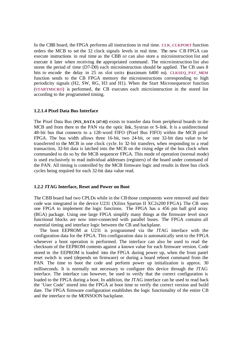In the CBB board, the FPGA performs all instructions in real time. **CLK\_CLKPORT** function orders the MCB to set the 32 clock signals levels in real time. The new CB FPGA can execute instructions in real time as the CBB or can also store a microinstruction list and execute it later when receiving the appropriated command. The microinstruction list also stores the period of time (D7-D0) each microinstruction should be applied. The CB uses 8 bits to encode the delay in 25 ns slot units (maximum 6400 ns). **CLKSEQ\_PAT\_MEM** function sends to the CB FPGA memory the microinstructions corresponding to high periodicity signals (H2, SW, RG, H3 and H1). When the Start Microsequencer function (**STARTMICRO**) is performed, the CB executes each microinstruction in the stored list according to the programmed timing.

#### **1.2.1.4 Pixel Data Bus Interface**

The Pixel Data Bus (**PIX\_DATA [47:0]**) exists to transfer data from peripheral boards to the MCB and from there to the PAN via the optic link, Systran or S-link. It is a unidirectional 48-bit bus that connects to a 128-word FIFO (Pixel Bus FIFO) within the MCB pixel FPGA. The bus width allows three 16-bit, two 24-bit, or one 32-bit data value to be transferred to the MCB in one clock cycle. In 32-bit transfers, when responding to a read transaction, 32-bit data is latched into the MCB on the rising edge of the bus clock when commanded to do so by the MCB sequencer FPGA. This mode of operation (normal mode) is used exclusively to read individual addresses (registers) of the board under command of the PAN. All timing is controlled by the MCB firmware logic and results in three bus clock cycles being required for each 32-bit data value read.

#### **1.2.2 JTAG Interface, Reset and Power on Boot**

The CBB board had two CPLDs while in the CB those components were removed and their code was integrated in the device U231 (Xilinx Spartan II XC2s200 FPGA). The CB uses one FPGA to implement the logic functions. The FPGA has a 456 pin ball grid array (BGA) package. Using one large FPGA simplify many things at the firmware level since functional blocks are now inter-connected with parallel buses. The FPGA contains all essential timing and interface logic between the CB and backplane.

The boot EEPROM at U231 is programmed via the JTAG interface with the configuration data for the FPGA. This configuration data is automatically sent to the FPGA whenever a boot operation is performed. The interface can also be used to read the checksum of the EEPROM contents against a known value for each firmware version. Code stored in the EEPROM is loaded into the FPGA during power up, when the front panel reset switch is used (depends on firmware) or during a board reboot command from the PAN. The time to boot the code and perform power up initialization is approx. 30 milliseconds. It is normally not necessary to configure this device through the JTAG interface. The interface can however, be used to verify that the correct configuration is loaded to the FPGA during a boot. In addition, the JTAG interface can be used to read back the 'User Code' stored into the FPGA at boot time to verify the correct version and build date. The FPGA firmware configuration establishes the logic functionality of the entire CB and the interface to the MONSOON backplane.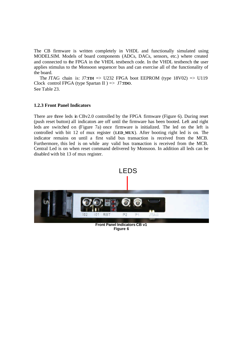The CB firmware is written completely in VHDL and functionally simulated using MODELSIM. Models of board components (ADCs, DACs, sensors, etc.) where created and connected to the FPGA in the VHDL testbench code. In the VHDL testbench the user applies stimulus to the Monsoon sequencer bus and can exercise all of the functionality of the board.

The JTAG chain is: J7:**TDI** => U232 FPGA boot EEPROM (type  $18V02$ ) => U119 Clock control FPGA (type Spartan II ) => J7:**TDO**. See Table 23.

#### **1.2.3 Front Panel Indicators**

There are three leds in CBv2.0 controlled by the FPGA firmware (Figure 6). During reset (push reset button) all indicators are off until the firmware has been booted. Left and right leds are switched on (Figure 7a) once firmware is initialized. The led on the left is controlled with bit 12 of mux register (**LED\_MUX**). After booting right led is on. The indicator remains on until a first valid bus transaction is received from the MCB. Furthermore, this led is on while any valid bus transaction is received from the MCB. Central Led is on when reset command delivered by Monsoon. In addition all leds can be disabled with bit 13 of mux register.



**Figure 6**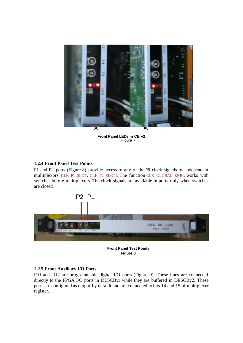

**Front Panel LEDs in CB v2** Figure 7

#### **1.2.4 Front Panel Test Points**

P1 and P2 ports (Figure 8) provide access to any of the 36 clock signals by independent multiplexors (CLK\_P1\_SLCT, CLK\_P2\_SLCT ). The function CLK\_GLOBAL\_ENBL works with switches before multiplexors. The clock signals are available in ports only when switches are closed.



**Front Panel Test Points Figure 8**

#### **1.2.5 Front Auxiliary I/O Ports**

IO1 and IO2 are programmable digital I/O ports (Figure 9). These lines are connected directly to the FPGA I/O ports in DESCBv1 while they are buffered in DESCBv2. These ports are configured as output by default and are connected to bits 14 and 15 of multiplexer register.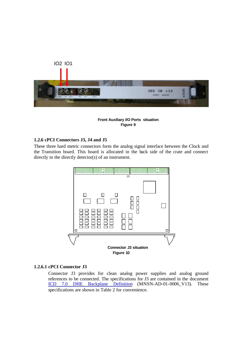

#### **Front Auxiliary I/O Ports situation Figure 9**

#### **1.2.6 cPCI Connectors J3, J4 and J5**

These three hard metric connectors form the analog signal interface between the Clock and the Transition board. This board is allocated in the back side of the crate and connect directly to the directly detector(s) of an instrument.



#### **1.2.6.1 cPCI Connector J3**

Connector J3 provides for clean analog power supplies and analog ground references to be connected. The specifications for J3 are contained in the document ICD 7.0 DHE Backplane Definition (MNSN-AD-01-0006\_V13). These specifications are shown in Table 2 for convenience.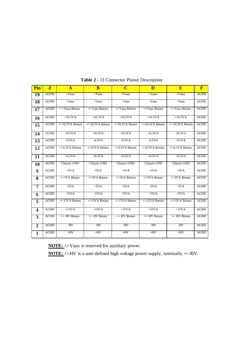| Pin              | $\mathbf{Z}$ | $\mathbf{A}$       | B                       | $\overline{C}$        | D                  | E                  | $\mathbf{F}$ |
|------------------|--------------|--------------------|-------------------------|-----------------------|--------------------|--------------------|--------------|
| 19               | <b>AGND</b>  | $+$ Vaux           | $+$ Vaux                | $+$ Vaux              | $+$ Vaux           | $+$ Vaux           | <b>AGND</b>  |
| 18               | <b>AGND</b>  | -Vaux              | -Vaux                   | -Vaux                 | -Vaux              | -Vaux              | <b>AGND</b>  |
| 17               | <b>AGND</b>  | +/-Vaux Return     | $+\sqrt{-V}$ aux Return | +/-Vaux Return        | +/-Vaux Return     | $+/-V$ aux Return  | <b>AGND</b>  |
| 16               | <b>AGND</b>  | $+16.5VA$          | $+16.5VA$               | $+16.5VA$             | $+16.5VA$          | $+16.5VA$          | <b>AGND</b>  |
| 15               | <b>AGND</b>  | $+/-16.5VA$ Return | $+/-16.5VA$ Return      | $+/-16.5VA$ Return    | $+/-16.5VA$ Return | $+/-16.5VA$ Return | <b>AGND</b>  |
| 14               | <b>AGND</b>  | $-16.5VA$          | $-16.5VA$               | $-16.5VA$             | $-16.5VA$          | $-16.5VA$          | <b>AGND</b>  |
| $\overline{13}$  | <b>AGND</b>  | $-6.5VA$           | $-6.5VA$                | $-6.5VA$              | $-6.5VA$           | $-6.5VA$           | <b>AGND</b>  |
| 12               | <b>AGND</b>  | $+/$ -6.5VA Return | $+/$ -6.5VA Return      | $+/6.5VA$ Return      | $+/$ -6.5VA Return | $+/-6.5VA$ Return  | <b>AGND</b>  |
| 11               | <b>AGND</b>  | $+6.5VA$           | $+6.5VA$                | $+6.5VA$              | $+6.5VA$           | $+6.5VA$           | <b>AGND</b>  |
| 10               | <b>AGND</b>  | Chassis GND        | Chassis GND             | Chassis GND           | Chassis GND        | Chassis GND        | <b>AGND</b>  |
| 9                | <b>AGND</b>  | $+5VA$             | $+5VA$                  | $+5VA$                | $+5VA$             | $+5VA$             | <b>AGND</b>  |
| 8                | <b>AGND</b>  | $+/-5VA$ Return    | $+/-5VA$ Return         | $+/$ -5VA Return      | $+/-5VA$ Return    | $+/-5VA$ Return    | <b>AGND</b>  |
| 7                | <b>AGND</b>  | $-5VA$             | $-5VA$                  | $-5VA$                | $-5VA$             | $-5VA$             | <b>AGND</b>  |
| 6                | <b>AGND</b>  | $-15VA$            | $-15VA$                 | $-15VA$               | $-15VA$            | $-15VA$            | <b>AGND</b>  |
| 5                | <b>AGND</b>  | $+/-15VA$ Return   | $+/$ -15VA Return       | $+/-15VA$ Return      | $+/-15VA$ Return   | $+/-15VA$ Return   | <b>AGND</b>  |
| $\boldsymbol{4}$ | <b>AGND</b>  | $+15VA$            | $+15VA$                 | $+15VA$               | $+15VA$            | $+15VA$            | <b>AGND</b>  |
| 3                | <b>AGND</b>  | $+/-$ HV Return    | $+/-$ HV Return         | $+\prime$ - HV Return | $+/-$ HV Return    | $+/-$ HV Return    | <b>AGND</b>  |
| 2                | <b>AGND</b>  | $-HV$              | $-HV$                   | $-HV$                 | $-HV$              | $-HV$              | <b>AGND</b>  |
| 1                | <b>AGND</b>  | $+HV$              | $+HV$                   | $+HV$                 | $+HV$              | $+HV$              | <b>AGND</b>  |

**Table 2** - J3 Connector Pinout Description

**NOTE:** +/-Vaux is reserved for auxiliary power.

**NOTE:** +/-HV is a user-defined high voltage power supply, nominally +/-30V.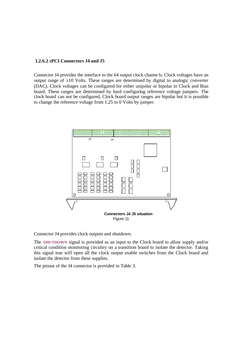#### **1.2.6.2 cPCI Connectors J4 and J5**

Connector J4 provides the interface to the 64 output clock channe ls. Clock voltages have an output range of  $\pm 10$  Volts. These ranges are determined by digital to analogic converter (DAC). Clock voltages can be configured for either unipolar or bipolar in Clock and Bias board. These ranges are determined by hard configuring reference voltage jumpers. The clock board can not be configured, Clock board output ranges are bipolar but it is possible to change the reference voltage from 1.25 to 0 Volts by jumper.



Connector J4 provides clock outputs and shutdown.

The **/SHUTDOWN** signal is provided as an input to the Clock board to allow supply and/or critical condition monitoring circuitry on a transition board to isolate the detector. Taking this signal true will open all the clock output enable switches from the Clock board and isolate the detector from these supplies.

The pinout of the J4 connector is provided in Table 3.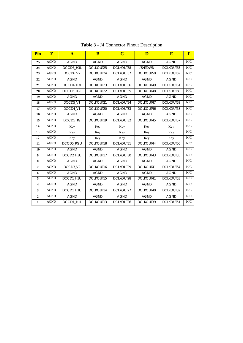| Pin                     | ${\bf z}$   | $\mathbf{A}$     | B           | $\overline{\mathbf{C}}$ | D           | E                | $\mathbf{F}$ |
|-------------------------|-------------|------------------|-------------|-------------------------|-------------|------------------|--------------|
| 25                      | <b>AGND</b> | <b>AGND</b>      | <b>AGND</b> | <b>AGND</b>             | <b>AGND</b> | <b>AGND</b>      | ${\rm N/C}$  |
| 24                      | <b>AGND</b> | DCCD6 H3L        | DCLKOUT25   | DCLKOUT38               | /SHTDWN     | DCLKOUT63        | ${\rm N/C}$  |
| 23                      | <b>AGND</b> | DCCD6_V2         | DCLKOUT24   | DCLKOUT37               | DCLKOUT50   | <b>DCLKOUT62</b> | N/C          |
| 22                      | <b>AGND</b> | <b>AGND</b>      | <b>AGND</b> | <b>AGND</b>             | <b>AGND</b> | <b>AGND</b>      | N/C          |
| 21                      | <b>AGND</b> | DCCD4_H3L        | DCLKOUT23   | DCLKOUT36               | DCLKOUT49   | DCLKOUT61        | N/C          |
| 20                      | <b>AGND</b> | <b>DCCD6 RGL</b> | DCLKOUT22   | DCLKOUT35               | DCLKOUT48   | DCLKOUT60        | N/C          |
| 19                      | <b>AGND</b> | <b>AGND</b>      | <b>AGND</b> | <b>AGND</b>             | <b>AGND</b> | <b>AGND</b>      | ${\bf N/C}$  |
| 18                      | <b>AGND</b> | DCCD5 V1         | DCLKOUT21   | DCLKOUT34               | DCLKOUT47   | DCLKOUT59        | N/C          |
| 17                      | <b>AGND</b> | DCCD4 V1         | DCLKOUT20   | DCLKOUT33               | DCLKOUT46   | DCLKOUT58        | N/C          |
| 16                      | <b>AGND</b> | <b>AGND</b>      | <b>AGND</b> | <b>AGND</b>             | <b>AGND</b> | <b>AGND</b>      | ${\rm N/C}$  |
| 15                      | <b>AGND</b> | DCCD5_TG         | DCLKOUT19   | DCLKOUT32               | DCLKOUT45   | DCLKOUT57        | ${\rm N/C}$  |
| 14                      | <b>AGND</b> | Key              | Key         | Key                     | Key         | Key              | ${\rm N/C}$  |
| 13                      | <b>AGND</b> | Key              | Key         | Key                     | Key         | Key              | N/C          |
| 12                      | <b>AGND</b> | Key              | Key         | Key                     | Key         | Key              | N/C          |
| 11                      | <b>AGND</b> | DCCD5_RGU        | DCLKOUT18   | DCLKOUT31               | DCLKOUT44   | DCLKOUT56        | N/C          |
| 10                      | <b>AGND</b> | <b>AGND</b>      | <b>AGND</b> | <b>AGND</b>             | <b>AGND</b> | <b>AGND</b>      | N/C          |
| $\boldsymbol{9}$        | <b>AGND</b> | DCCD2 H3U        | DCLKOUT17   | DCLKOUT30               | DCLKOUT43   | DCLKOUT55        | N/C          |
| 8                       | <b>AGND</b> | <b>AGND</b>      | <b>AGND</b> | <b>AGND</b>             | <b>AGND</b> | <b>AGND</b>      | N/C          |
| $\overline{7}$          | <b>AGND</b> | DCCD3 V2         | DCLKOUT16   | DCLKOUT29               | DCLKOUT41   | DCLKOUT54        | ${\bf N/C}$  |
| 6                       | <b>AGND</b> | <b>AGND</b>      | <b>AGND</b> | <b>AGND</b>             | <b>AGND</b> | <b>AGND</b>      | N/C          |
| 5                       | <b>AGND</b> | DCCD1_H3U        | DCLKOUT15   | DCLKOUT28               | DCLKOUT41   | DCLKOUT53        | N/C          |
| $\overline{\mathbf{4}}$ | <b>AGND</b> | <b>AGND</b>      | <b>AGND</b> | <b>AGND</b>             | <b>AGND</b> | <b>AGND</b>      | N/C          |
| 3                       | <b>AGND</b> | DCCD1_H1U        | DCLKOUT14   | DCLKOUT27               | DCLKOUT40   | DCLKOUT52        | ${\rm N/C}$  |
| $\overline{2}$          | <b>AGND</b> | <b>AGND</b>      | <b>AGND</b> | <b>AGND</b>             | <b>AGND</b> | <b>AGND</b>      | N/C          |
| $\mathbf{1}$            | <b>AGND</b> | DCCD1 H1L        | DCLKOUT13   | DCLKOUT26               | DCLKOUT39   | DCLKOUT51        | ${\rm N/C}$  |

**Table 3** - J4 Connector Pinout Description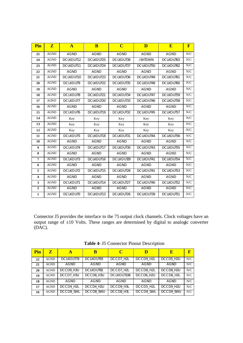| Pin              | ${\bf Z}$   | $\mathbf{A}$    | B           | $\bf C$          | D           | E           | $\overline{\mathbf{F}}$ |
|------------------|-------------|-----------------|-------------|------------------|-------------|-------------|-------------------------|
| 25               | <b>AGND</b> | <b>AGND</b>     | <b>AGND</b> | <b>AGND</b>      | <b>AGND</b> | <b>AGND</b> | N/C                     |
| 24               | <b>AGND</b> | DCLKOUT12       | DCLKOUT25   | DCLKOUT38        | /SHTDWN     | DCLKOUT63   | N/C                     |
| 23               | <b>AGND</b> | DCLKOUT11       | DCLKOUT24   | <b>DCLKOUT37</b> | DCLKOUT50   | DCLKOUT62   | N/C                     |
| 22               | <b>AGND</b> | <b>AGND</b>     | <b>AGND</b> | <b>AGND</b>      | <b>AGND</b> | <b>AGND</b> | N/C                     |
| 21               | <b>AGND</b> | DCLKOUT10       | DCLKOUT23   | DCLKOUT36        | DCLKOUT49   | DCLKOUT61   | ${\rm N/C}$             |
| 20               | <b>AGND</b> | <b>DCLKOUT9</b> | DCLKOUT22   | DCLKOUT35        | DCLKOUT48   | DCLKOUT60   | N/C                     |
| 19               | <b>AGND</b> | <b>AGND</b>     | <b>AGND</b> | <b>AGND</b>      | <b>AGND</b> | <b>AGND</b> | ${\rm N/C}$             |
| 18               | <b>AGND</b> | <b>DCLKOUT8</b> | DCLKOUT21   | DCLKOUT34        | DCLKOUT47   | DCLKOUT59   | N/C                     |
| 17               | <b>AGND</b> | <b>DCLKOUT7</b> | DCLKOUT20   | DCLKOUT33        | DCLKOUT46   | DCLKOUT58   | ${\rm N/C}$             |
| 16               | <b>AGND</b> | <b>AGND</b>     | <b>AGND</b> | <b>AGND</b>      | <b>AGND</b> | <b>AGND</b> | ${\rm N/C}$             |
| 15               | <b>AGND</b> | <b>DCLKOUT6</b> | DCLKOUT19   | DCLKOUT32        | DCLKOUT45   | DCLKOUT57   | N/C                     |
| 14               | <b>AGND</b> | Key             | Key         | Key              | Key         | Key         | N/C                     |
| 13               | <b>AGND</b> | Key             | Key         | Key              | Key         | Key         | ${\rm N/C}$             |
| 12               | <b>AGND</b> | Key             | Key         | Key              | Key         | Key         | N/C                     |
| 11               | <b>AGND</b> | <b>DCLKOUT5</b> | DCLKOUT18   | DCLKOUT31        | DCLKOUT44   | DCLKOUT56   | N/C                     |
| 10               | <b>AGND</b> | <b>AGND</b>     | <b>AGND</b> | <b>AGND</b>      | <b>AGND</b> | <b>AGND</b> | N/C                     |
| $\boldsymbol{9}$ | <b>AGND</b> | <b>DCLKOUT4</b> | DCLKOUT17   | DCLKOUT30        | DCLKOUT43   | DCLKOUT55   | ${\rm N/C}$             |
| 8                | <b>AGND</b> | <b>AGND</b>     | <b>AGND</b> | <b>AGND</b>      | <b>AGND</b> | <b>AGND</b> | N/C                     |
| $\overline{7}$   | <b>AGND</b> | <b>DCLKOUT3</b> | DCLKOUT16   | DCLKOUT29        | DCLKOUT41   | DCLKOUT54   | N/C                     |
| 6                | <b>AGND</b> | <b>AGND</b>     | <b>AGND</b> | <b>AGND</b>      | <b>AGND</b> | <b>AGND</b> | N/C                     |
| 5                | <b>AGND</b> | <b>DCLKOUT2</b> | DCLKOUT15   | DCLKOUT28        | DCLKOUT41   | DCLKOUT53   | N/C                     |
| 4                | <b>AGND</b> | <b>AGND</b>     | <b>AGND</b> | <b>AGND</b>      | <b>AGND</b> | <b>AGND</b> | N/C                     |
| 3                | <b>AGND</b> | <b>DCLKOUT1</b> | DCLKOUT14   | DCLKOUT27        | DCLKOUT40   | DCLKOUT52   | N/C                     |
| $\overline{2}$   | <b>AGND</b> | <b>AGND</b>     | <b>AGND</b> | <b>AGND</b>      | <b>AGND</b> | <b>AGND</b> | ${\bf N/C}$             |
| $\mathbf{1}$     | $\rm{AGND}$ | <b>DCLKOUT0</b> | DCLKOUT13   | DCLKOUT26        | DCLKOUT39   | DCLKOUT51   | ${\rm N/C}$             |

Connector J5 provides the interface to the 75 output clock channels. Clock voltages have an output range of  $\pm 10$  Volts. These ranges are determined by digital to analogic converter (DAC).

| Table 4- J5 Connector Pinout Description |  |
|------------------------------------------|--|
|------------------------------------------|--|

| Pin | ${\bf z}$   |                  | в                |             |                  | E                | $\overline{\textbf{F}}$ |
|-----|-------------|------------------|------------------|-------------|------------------|------------------|-------------------------|
| 22  | <b>AGND</b> | DCLKOUT78        | DCLKOUT93        | DCCD7 H2L   | DCCD9 H2L        | DCCD5 H2U        | N/C                     |
| 21  | <b>AGND</b> | <b>AGND</b>      | <b>AGND</b>      | <b>AGND</b> | <b>AGND</b>      | <b>AGND</b>      | N/C                     |
| 20  | <b>AGND</b> | DCCD9 H3U        | DCLKOUT92        | DCCD7 H2L   | DCCD8 H2L        | DCCD8 H2U        | N/C                     |
| 19  | <b>AGND</b> | DCCD7 H3U        | DCCD8 H3U        | DCLKOUT106  | DCCD6 H2U        | DCCD6 H2L        | N/C                     |
| 18  | <b>AGND</b> | <b>AGND</b>      | <b>AGND</b>      | <b>AGND</b> | <b>AGND</b>      | <b>AGND</b>      | N/C                     |
| 17  | <b>AGND</b> | DCCD4 H2L        | DCCD4 H2U        | DCCD9 H3L   | DCCD5 H2L        | DCCD9 H2U        | N/C                     |
| 16  | <b>AGND</b> | <b>DCCD8 SWL</b> | <b>DCCD8 SWU</b> | DCCD8 H3L   | <b>DCCD9 SWL</b> | <b>DCCD9 SWU</b> | N/C                     |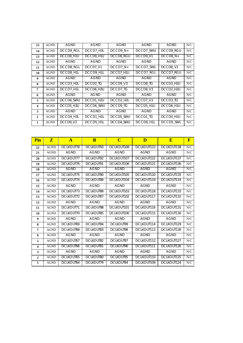| 15           | <b>AGND</b> | <b>AGND</b>      | <b>AGND</b>          | <b>AGND</b>                       | <b>AGND</b>     | <b>AGND</b>                       | N/C |
|--------------|-------------|------------------|----------------------|-----------------------------------|-----------------|-----------------------------------|-----|
| 14           | <b>AGND</b> | <b>DCCD9 RGL</b> | DCCD7_H3L            | $DCCD9$ $N+$                      | DCCD7_SWU       | <b>DCCD9 RGU</b>                  | N/C |
| 13           | <b>AGND</b> | DCCD8_H1U        | DCCD9 H1U            | DCCD8_RGU                         | DCCD9_V1        | DCCD8 N+                          | N/C |
| 12           | <b>AGND</b> | <b>AGND</b>      | <b>AGND</b>          | <b>AGND</b>                       | <b>AGND</b>     | <b>AGND</b>                       | N/C |
| 11           | <b>AGND</b> | <b>DCCD8 RGL</b> | DCCD7 V1             | DCCD7_N+                          | DCCD7_SWL       | DCCD8_V1                          | N/C |
| 10           | <b>AGND</b> | DCCD8_H1L        | DCCD9_H1L            | DCCD7_H1U                         | DCCD7_RGL       | DCCD7_RGU                         | N/C |
| 9            | <b>AGND</b> | <b>AGND</b>      | AGND                 | <b>AGND</b>                       | <b>AGND</b>     | <b>AGND</b>                       | N/C |
| 8            | <b>AGND</b> | DCCD3 H2L        | DCCD <sub>2</sub> TG | DCCD9 V3                          | <b>DCCD8 TG</b> | DCCD3_H2U                         | N/C |
| 7            | <b>AGND</b> | DCCD7 H1L        | DCCD6 H3U            | DCCD7 TG                          | DCCD8 V3        | DCCD <sub>2</sub> H <sub>2U</sub> | N/C |
| 6            | <b>AGND</b> | <b>AGND</b>      | <b>AG ND</b>         | <b>AGND</b>                       | <b>AGND</b>     | <b>AGND</b>                       | N/C |
| 5            | <b>AGND</b> | DCCD6 SWU        | DCCD1_H2U            | DCCD <sub>2</sub> H <sub>2L</sub> | DCCD7 V3        | DCCD3 TG                          | N/C |
| 4            | <b>AGND</b> | DCCD5_H3U        | DCCD6_SWU            | DCCD9_TG                          | DCCD5_H1U       | DCCD6_H1U                         | N/C |
| 3            | <b>AGND</b> | <b>AGND</b>      | <b>AGND</b>          | <b>AGND</b>                       | <b>AGND</b>     | <b>AGND</b>                       | N/C |
| $\mathbf{2}$ | <b>AGND</b> | DCCD4 H3L        | DCCD1 H2L            | DCCD5 SWU                         | DCCD1 TG        | DCCD4 H1U                         | N/C |
| 1            | <b>AGND</b> | DCCD9_V2         | DCCD5 H1L            | DCCD4 SWU                         | DCCD6 H1L       | DCCD5_SWL                         | N/C |

| Pin                     | $\mathbf{Z}$ | $\mathbf{A}$ | B                | $\overline{\mathbf{C}}$ | D           | E           | $\overline{\mathbf{F}}$ |
|-------------------------|--------------|--------------|------------------|-------------------------|-------------|-------------|-------------------------|
| 22                      | <b>AGND</b>  | DCLKOUT78    | DCLKOUT93        | DCLKOUT108              | DCLKOUT123  | DCLKOUT138  | N/C                     |
| 21                      | <b>AGND</b>  | <b>AGND</b>  | <b>AGND</b>      | <b>AGND</b>             | <b>AGND</b> | <b>AGND</b> | N/C                     |
| 20                      | <b>AGND</b>  | DCLKOUT77    | DCLKOUT92        | DCLKOUT107              | DCLKOUT122  | DCLKOUT137  | N/C                     |
| 19                      | <b>AGND</b>  | DCLKOUT76    | DCLKOUT91        | DCLKOUT106              | DCLKOUT121  | DCLKOUT136  | ${\rm N/C}$             |
| 18                      | <b>AGND</b>  | <b>AGND</b>  | <b>AGND</b>      | <b>AGND</b>             | <b>AGND</b> | <b>AGND</b> | N/C                     |
| 17                      | <b>AGND</b>  | DCLKOUT75    | DCLKOUT90        | DCLKOUT105              | DCLKOUT120  | DCLKOUT135  | N/C                     |
| 16                      | <b>AGND</b>  | DCLKOUT74    | DCLKOUT89        | DCLKOUT104              | DCLKOUT119  | DCLKOUT134  | N/C                     |
| 15                      | <b>AGND</b>  | <b>AGND</b>  | <b>AGND</b>      | <b>AGND</b>             | <b>AGND</b> | <b>AGND</b> | N/C                     |
| 14                      | <b>AGND</b>  | DCLKOUT73    | <b>DCLKOUT88</b> | DCLKOUT103              | DCLKOUT118  | DCLKOUT133  | N/C                     |
| 13                      | <b>AGND</b>  | DCLKOUT72    | DCLKOUT87        | DCLKOUT102              | DCLKOUT117  | DCLKOUT132  | N/C                     |
| 12                      | <b>AGND</b>  | <b>AGND</b>  | <b>AGND</b>      | <b>AGND</b>             | <b>AGND</b> | <b>AGND</b> | N/C                     |
| 11                      | <b>AGND</b>  | DCLKOUT71    | DCLKOUT86        | DCLKOUT101              | DCLKOUT116  | DCLKOUT131  | ${\rm N/C}$             |
| 10                      | <b>AGND</b>  | DCLKOUT70    | DCLKOUT85        | DCLKOUT100              | DCLKOUT115  | DCLKOUT130  | N/C                     |
| 9                       | <b>AGND</b>  | <b>AGND</b>  | <b>AGND</b>      | <b>AGND</b>             | <b>AGND</b> | <b>AGND</b> | N/C                     |
| 8                       | <b>AGND</b>  | DCLKOUT69    | DCLKOUT84        | DCLKOUT99               | DCLKOUT114  | DCLKOUT129  | N/C                     |
| $\overline{7}$          | <b>AGND</b>  | DCLKOUT68    | DCLKOUT83        | DCLKOUT98               | DCLKOUT113  | DCLKOUT128  | N/C                     |
| 6                       | <b>AGND</b>  | <b>AGND</b>  | <b>AGND</b>      | <b>AGND</b>             | <b>AGND</b> | <b>AGND</b> | N/C                     |
| 5                       | <b>AGND</b>  | DCLKOUT67    | DCLKOUT82        | DCLKOUT97               | DCLKOUT112  | DCLKOUT127  | N/C                     |
| $\overline{\mathbf{4}}$ | <b>AGND</b>  | DCLKOUT66    | DCLKOUT81        | DCLKOUT96               | DCLKOUT111  | DCLKOUT126  | N/C                     |
| 3                       | <b>AGND</b>  | <b>AGND</b>  | <b>AGND</b>      | <b>AGND</b>             | <b>AGND</b> | <b>AGND</b> | N/C                     |
| $\mathbf{2}$            | <b>AGND</b>  | DCLKOUT65    | DCLKOUT80        | DCLKOUT95               | DCLKOUT110  | DCLKOUT125  | N/C                     |
| 1                       | <b>AGND</b>  | DCLKOUT64    | DCLKOUT79        | DCLKOUT94               | DCLKOUT109  | DCLKOUT124  | N/C                     |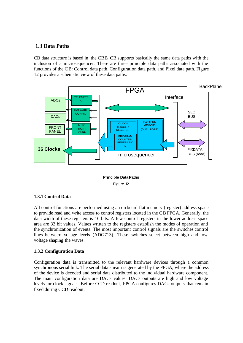#### **1.3 Data Paths**

CB data structure is based in the CBB. CB supports basically the same data paths with the inclusion of a microsequencer. There are three principle data paths associated with the functions of the CB: Control data path, Configuration data path, and Pixel data path. Figure 12 provides a schematic view of these data paths.



#### **Principle Data Paths** Figure 12

#### **1.3.1 Control Data**

All control functions are performed using an on-board flat memory (register) address space to provide read and write access to control registers located in the CB FPGA. Generally, the data width of these registers is 16 bits. A few control registers in the lower address space area are 32 bit values. Values written to the registers establish the modes of operation and the synchronization of events. The most important control signals are the switches control lines between voltage levels (ADG713). These switches select between high and low voltage shaping the waves.

#### **1.3.2 Configuration Data**

Configuration data is transmitted to the relevant hardware devices through a common synchronous serial link. The serial data stream is generated by the FPGA, where the address of the device is decoded and serial data distributed to the individual hardware component. The main configuration data are DACs values. DACs outputs are high and low voltage levels for clock signals. Before CCD readout, FPGA configures DACs outputs that remain fixed during CCD readout.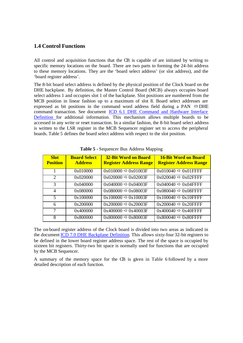#### **1.4 Control Functions**

All control and acquisition functions that the CB is capable of are initiated by writing to specific memory locations on the board. There are two parts to forming the 24-bit address to these memory locations. They are the 'board select address' (or slot address), and the 'board register address'.

The 8-bit board select address is defined by the physical position of the Clock board on the DHE backplane. By definition, the Master Control Board (MCB) always occupies board select address 1 and occupies slot 1 of the backplane. Slot positions are numbered from the MCB position in linear fashion up to a maximum of slot 8. Board select addresses are expressed as bit positions in the command word address field during a PAN  $\Leftrightarrow$  DHE command transaction. See document ICD 6.1 DHE Command and Hardware Interface Definition for additional information. This mechanism allows multiple boards to be accessed in any write or reset transaction. In a similar fashion, the 8-bit board select address is written to the LSR register in the MCB Sequencer register set to access the peripheral boards. Table 5 defines the board select address with respect to the slot position.

| <b>Slot</b><br><b>Position</b> | <b>Board Select</b><br><b>Address</b> | <b>32-Bit Word on Board</b><br><b>Register Address Range</b> | <b>16-Bit Word on Board</b><br><b>Register Address Range</b> |
|--------------------------------|---------------------------------------|--------------------------------------------------------------|--------------------------------------------------------------|
|                                | 0x010000                              | $0x010000 \Rightarrow 0x01003F$                              | $0x010040 \Rightarrow 0x01$ FFFF                             |
| $\mathcal{D}_{\mathcal{L}}$    | 0x020000                              | $0x020000 \Rightarrow 0x02003F$                              | $0x020040 \Rightarrow 0x02$ FFFF                             |
| 3                              | 0x040000                              | $0x040000 \Rightarrow 0x04003F$                              | $0x040040 \Rightarrow 0x04$ FFFF                             |
| $\overline{4}$                 | 0x080000                              | $0x080000 \Rightarrow 0x08003F$                              | $0x080040 \Rightarrow 0x08$ FFFF                             |
| $\overline{\mathbf{5}}$        | 0x100000                              | $0x100000 \Rightarrow 0x10003F$                              | $0x100040 \Rightarrow 0x10$ FFFF                             |
| 6                              | 0x200000                              | $0x200000 \Rightarrow 0x20003F$                              | $0x200040 \Rightarrow 0x20$ FFFF                             |
| 7                              | 0x400000                              | $0x400000 \Rightarrow 0x40003F$                              | $0x400040 \Rightarrow 0x40$ FFFF                             |
| 8                              | 0x800000                              | $0x800000 \Rightarrow 0x80003F$                              | $0x800040 \Rightarrow 0x80$ FFFF                             |

**Table 5 -** Sequencer Bus Address Mapping

The on-board register address of the Clock board is divided into two areas as indicated in the document ICD 7.0 DHE Backplane Definition. This allows sixty-four 32-bit registers to be defined in the lower board register address space. The rest of the space is occupied by sixteen bit registers. Thirty-two bit space is normally used for functions that are occupied by the MCB Sequencer.

A summary of the memory space for the CB is given in Table 6 followed by a more detailed description of each function.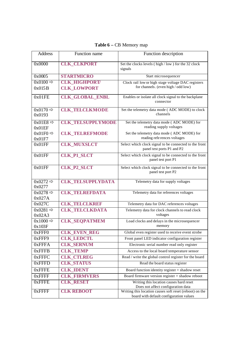| <b>Address</b>                    | Function name            | Function description                                                                               |
|-----------------------------------|--------------------------|----------------------------------------------------------------------------------------------------|
| 0x0000                            | <b>CLK_CLKPORT</b>       | Set the clocks levels (high / low) for the 32 clock                                                |
|                                   |                          | signals                                                                                            |
| 0x0005                            | <b>STARTMICRO</b>        | Start microsequencer                                                                               |
| $\overline{0x0100}$ $\Rightarrow$ | <b>CLK HIGHPORT/</b>     | Clock rail low or high stage voltage DAC registers                                                 |
| 0x015B                            | <b>CLK_LOWPORT</b>       | for channels. (even high / odd low)                                                                |
| 0x01FE                            | <b>CLK_GLOBAL_ENBL</b>   | Enables or isolate all clock signal to the backplane<br>connector                                  |
| $0x0170 \Rightarrow$              | <b>CLK_TELCLKMODE</b>    | Set the telemetry data mode (ADC MODE) to clock                                                    |
| 0x0193                            |                          | channels                                                                                           |
| $0x01E8 \Rightarrow$              | <b>CLK_TELSUPPLYMODE</b> | Set the telemetry data mode (ADC MODE) for                                                         |
| 0x01EF                            |                          | reading supply voltages                                                                            |
| $0x01F0 \Rightarrow$              | <b>CLK_TELREFMODE</b>    | Set the telemetry data mode (ADC MODE) for                                                         |
| 0x01F7                            |                          | reading references voltages                                                                        |
| 0x01FF                            | <b>CLK_MUXSLCT</b>       | Select which clock signal to be connected to the front<br>panel test ports P1 and P2               |
| 0x01FF                            | <b>CLK_P1_SLCT</b>       | Select which clock signal to be connected to the front<br>panel test port P1                       |
| 0x01FF                            | <b>CLK_P2_SLCT</b>       | Select which clock signal to be connected to the front                                             |
|                                   |                          | panel test port P2                                                                                 |
| $0x0272 \Rightarrow$              | <b>CLK_TELSUPPLYDATA</b> | Telemetry data for supply voltages                                                                 |
| 0x0277                            |                          |                                                                                                    |
| $0x0278 \Rightarrow$              | <b>CLK_TELREFDATA</b>    | Telemetry data for references voltages                                                             |
| 0x027A                            |                          |                                                                                                    |
| 0x027C                            | <b>CLK_TELCLKREF</b>     | Telemetry data for DAC references voltages                                                         |
| $0x0281 \Rightarrow$<br>0x02A3    | <b>CLK_TELCLKDATA</b>    | Telemetry data for clock channels to read clock<br>voltages                                        |
| $0x1000 \Rightarrow$              | <b>CLK_SEQPATMEM</b>     | Load clocks and delays in the microsequencer                                                       |
| 0x103F                            |                          | memory                                                                                             |
| 0xFFF0                            | <b>CLK_EVEN_REG</b>      | Global even register used to receive event strobe                                                  |
| 0xFFF9                            | <b>CLK LEDCTL</b>        | Front panel LED indicator configuration register                                                   |
| <b>OXFFFA</b>                     | <b>CLK SERNUM</b>        | Electronic serial number read only register                                                        |
| <b>OxFFFB</b>                     | <b>CLK TEMP</b>          | Access to the local board temperature sensor                                                       |
| <b>OxFFFC</b>                     | <b>CLK CTLREG</b>        | Read / write the global control register for the board                                             |
| 0xFFFD                            | <b>CLK STATUS</b>        | Read the board status register                                                                     |
| <b>OxFFFE</b>                     | <b>CLK IDENT</b>         | Board function identity register + shadow reset                                                    |
| <b>OxFFFF</b>                     | <b>CLK_FIRMVERS</b>      | Board firmware version register + shadow reboot                                                    |
| <b>OxFFFE</b>                     | <b>CLK_RESET</b>         | Writing this location causes hard reset                                                            |
|                                   | <b>CLK REBOOT</b>        | Does not affect configuration data                                                                 |
| <b>OxFFFF</b>                     |                          | Writing this location causes soft reset (reboot) on the<br>board with default configuration values |

**Table 6 –** CB Memory map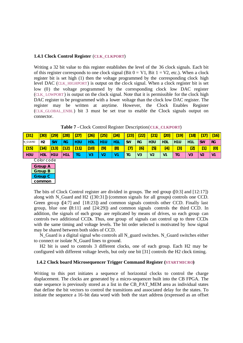#### **1.4.1 Clock Control Register** (**CLK\_CLKPORT**)

Writing a 32 bit value to this register establishes the level of the 36 clock signals. Each bit of this register corresponds to one clock signal (Bit  $0 = VI$ , Bit  $1 = V2$ , etc.). When a clock register bit is set high (1) then the voltage programmed by the corresponding clock high level DAC (CLK\_HIGHPORT) is output on the clock signal. When a clock register bit is set low (0) the voltage programmed by the corresponding clock low DAC register (CLK\_ LOWPORT) is output on the clock signal. Note that it is permissible for the clock high DAC register to be programmed with a lower voltage than the clock low DAC register. The register may be written at anytime. However, the Clock Enables Register (CLK\_GLOBAL\_ENBL) bit 3 must be set true to enable the Clock signals output on connector.

**Table 7 -** Clock Control Register Description(**CLK\_CLKPORT**)

| [31]             | [30]            | [29]        | <u> [28]</u>     | $[27]$          | [26]             | [25]       | [24]                   | $[23]$           | $\bm{[22]}$    | [21]             | [20]                                                                                                                                                                                                                                                | $[19]$ | 18               |                  | $[16]$    |
|------------------|-----------------|-------------|------------------|-----------------|------------------|------------|------------------------|------------------|----------------|------------------|-----------------------------------------------------------------------------------------------------------------------------------------------------------------------------------------------------------------------------------------------------|--------|------------------|------------------|-----------|
| N GUARD          | H <sub>2</sub>  | <b>SW</b>   | <b>RG</b>        | H <sub>3U</sub> | H <sub>3</sub> L | <b>H1U</b> | <b>H11</b>             | <b>SW</b>        | RG             | H3U              | H <sub>3</sub> L                                                                                                                                                                                                                                    | I H1U  | H <sub>1</sub> L | <b>SW</b>        | <b>RG</b> |
| $[15]$           | [14]            | [13]        | $\sqrt{12}$      | [11]            | $[10]$           | [9]        | [8]                    | $\overline{[7]}$ | [6]            | $\overline{[5]}$ | $[4] % \includegraphics[width=0.9\columnwidth]{figures/fig_10.pdf} \caption{The graph $\mathcal{N}_1$ is a function of the number of~\textit{N}_1$ (left) and the number of~\textit{N}_2$ (right) are shown in Fig.~\ref{fig:10}. } \label{fig:11}$ | [3]    | $\overline{[2]}$ | $\left[1\right]$ | [0]       |
| H <sub>3</sub> U | H <sub>3L</sub> | <b>IH1U</b> | H <sub>1</sub> L | ΤG              | V <sub>3</sub>   | V2         | $\mathbf{V}^{\bullet}$ | <b>TG</b>        | V <sub>3</sub> | V <sub>2</sub>   | V <sub>1</sub>                                                                                                                                                                                                                                      | ΤG     | V3               | V <sub>2</sub>   | V1        |

| Color code     |
|----------------|
| <b>Group A</b> |
| Group B        |
| Group C        |
| common         |

The bits of Clock Control register are divided in groups. The red group ([0:3] and [12:17]) along with N\_Guard and H2 ([30:31]) (common signals for all groups) controls one CCD. Green group ([4:7] and [18:23]) and common signals controls other CCD. Finally last group, blue one  $[8:11]$  and  $[24:29]$  and common signals controls the third CCD. In addition, the signals of each group are replicated by means of drives, so each group can controls two additional CCDs. Thus, one group of signals can control up to three CCDs with the same timing and voltage levels. The bit order selected is motivated by how signal may be shared between both sides of CCD.

N\_Guard is a digital signal who controls all N\_guard switches. N\_Guard switches either to connect or isolate N\_Guard lines to ground.

H2 bit is used to controls 3 different clocks, one of each group. Each H2 may be configured with different voltage levels, but only one bit [31] controls the H2 clock timing.

#### **1.4.2 Clock board Microsequencer Trigger Command Register (STARTMICRO)**

Writing to this port initiates a sequence of horizontal clocks to control the charge displacement. The clocks are generated by a micro-sequencer built into the CB FPGA. The state sequence is previously stored as a list in the CB\_PAT\_MEM area as individual states that define the bit vectors to control the transitions and associated delay for the states. To initiate the sequence a 16-bit data word with both the start address (expressed as an offset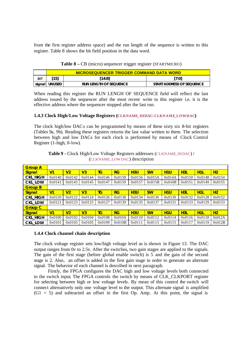from the first register address space) and the run length of the sequence is written to this register. Table 8 shows the bit field position in the data word.

|        | <b>MICROSEQUENCER TRIGGER COMMAND DATA WORD</b> |                               |                           |  |  |  |  |
|--------|-------------------------------------------------|-------------------------------|---------------------------|--|--|--|--|
| BIT    | ้151                                            | [14:8]                        | [7:0]                     |  |  |  |  |
| signal | <b>UNUSED</b>                                   | <b>RUN LENGTH OF SEQUENCE</b> | START ADDRESS OF SEQUENCE |  |  |  |  |

|  |  |  |  |  | Table 8 - CB (micro) sequencer trigger register (STARTMICRO) |  |
|--|--|--|--|--|--------------------------------------------------------------|--|
|--|--|--|--|--|--------------------------------------------------------------|--|

When reading this register the RUN LENGH OF SEQUENCE field will reflect the last address issued by the sequencer after the most recent write to this register i.e. it is the effective address where the sequencer stopped after the last run.

#### **1.4.3 Clock High/Low Voltage Registers (CLKNAME\_HIDAC/CLKNAME\_LOWDAC)**

The clock high/low DACs can be programmed by means of these sixty six 8-bit registers (Tables 9a, 9b). Reading these registers returns the last value written to them. The selection between high and low DACs for each clock is performed by means of Clock Control Register (1-high, 0-low).

#### **Table 9 -** Clock High/Low Voltage Registers addresses (CLKNAME\_HIDAC) / (CLKNAME\_LOW DAC) description

| <b>Group A</b>  |                |                |                          |           |        |        |           |            |                 |                |        |
|-----------------|----------------|----------------|--------------------------|-----------|--------|--------|-----------|------------|-----------------|----------------|--------|
| <b>Signal</b>   | V <sub>1</sub> | V <sub>2</sub> | $\overline{\mathsf{V3}}$ | <b>TG</b> | RG     | H3U    | <b>SW</b> | <b>H1U</b> | H3L             | H <sub>1</sub> | H2     |
| <b>CKL_HIGH</b> | 0x0140         | 0x0142         | 0x0144                   | 0x0146    | 0x0158 | 0x0156 | 0x015A    | 0x014A     | 0x0150          | 0x0148         | 0x0154 |
| <b>CKL_LOW</b>  | 0x0141         | 0x0143         | 0x0145                   | 0x0147    | 0x0159 | 0x0157 | 0x015B    | 0x014B     | 0x0151          | 0x0149         | 0x0155 |
| <b>Group B</b>  |                |                |                          |           |        |        |           |            |                 |                |        |
| <b>Signal</b>   | V <sub>1</sub> | V <sub>2</sub> | $\mathsf{V}3$            | <b>TG</b> | RG     | H3U    | <b>SW</b> | <b>H1U</b> | H <sub>3L</sub> | <b>H1L</b>     | H2     |
| <b>CKL_HIGH</b> | 0x0120         | 0x0122         | 0x0124                   | 0x0126    | 0x0138 | 0x0134 | 0x0136    | 0x0130     | 0x0132          | 0x0128         | 0x0152 |
| <b>CKL_LOW</b>  | 0x0121         | 0x0123         | 0x0125                   | 0x0127    | 0x0139 | 0x0135 | 0x0137    | 0x0131     | 0x0133          | 0x0129         | 0x0153 |
| <b>Group C</b>  |                |                |                          |           |        |        |           |            |                 |                |        |
| <b>Signal</b>   | V <sub>1</sub> | V <sub>2</sub> | V <sub>3</sub>           | <b>TG</b> | RG     | H3U    | <b>SW</b> | <b>H1U</b> | H <sub>3L</sub> | H <sub>1</sub> | H2     |
| <b>CKL HIGH</b> | 0x0100         | 0x0102         | 0x0104                   | 0x0108    | 0x010A | 0x0110 | 0x0112    | 0x0114     | 0x0116          | 0x0118         | 0x012A |
| <b>CKL LOW</b>  | 0x0101         | 0x0103         | 0x0105                   | 0x0109    | 0x010B | 0x0111 | 0x0113    | 0x0115     | 0x0117          | 0x0119         | 0x012B |

#### **1.4.4 Clock channel chain description**

The clock voltage register sets low/high voltage level as is shown in Figure 13. The DAC output ranges from 0v to 2.5v. After the switches, two gain stages are applied to the signals. The gain of the first stage (before global enable switch) is 5 and the gain of the second stage is 2. Also, an offset is added in the first gain stage in order to generate an alternate signal. The behavior of each channel is described in next paragraph.

Firstly, the FPGA configures the DAC high and low voltage levels both connected to the switch input. The FPGA controls the switch by means of CLK\_CLKPORT register for selecting between high or low voltage levels. By mean of this control the switch will connect alternatively only one voltage level to the output. This alternate signal is amplified  $(G1 = 5)$  and subtracted an offset in the first Op. Amp. At this point, the signal is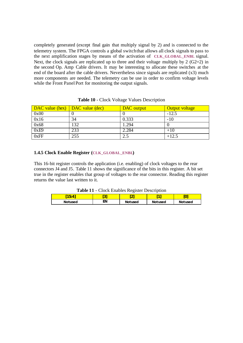completely generated (except final gain that multiply signal by 2) and is connected to the telemetry system. The FPGA controls a global switchthat allows all clock signals to pass to the next amplification stages by means of the activation of **CLK\_GLOBAL\_ENBL** signal. Next, the clock signals are replicated up to three and their voltage multiply by 2  $(G2=2)$  in the second Op. Amp Cable drivers. It may be interesting to allocate these switches at the end of the board after the cable drivers. Nevertheless since signals are replicated (x3) much more components are needed. The telemetry can be use in order to confirm voltage levels while the Front Panel Port for monitoring the output signals.

| <b>DAC</b> value (hex) <b>DAC</b> value (dec) |     | DAC output | Output voltage |
|-----------------------------------------------|-----|------------|----------------|
| 0x00                                          |     |            | $-12.5$        |
| 0x16                                          | 34  | 0.333      | $-10$          |
| 0x68                                          | 132 | 1.294      |                |
| 0xE9                                          | 233 | 2.284      | $+10$          |
| 0xFF                                          | 255 | 2.5        | $+12.5$        |

| Table 10 - Clock Voltage Values Description |  |  |  |  |  |
|---------------------------------------------|--|--|--|--|--|
|---------------------------------------------|--|--|--|--|--|

#### **1.4.5 Clock Enable Register (CLK\_GLOBAL\_ENBL)**

This 16-bit register controls the application (i.e. enabling) of clock voltages to the rear connectors J4 and J5. Table 11 shows the significance of the bits in this register. A bit set true in the register enables that group of voltages to the rear connector. Reading this register returns the value last written to it.

| 15.            | ומז<br>ಀ | m<br>. . |          | - 1      |
|----------------|----------|----------|----------|----------|
| <b>Notused</b> | ΕN       | Not used | Not used | Not used |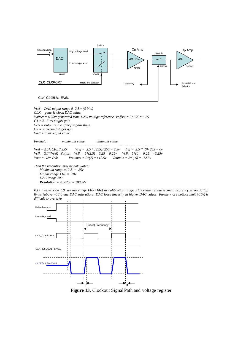

*Vref = DAC output range 0- 2.5 v (8 bits) CLK = generic clock DAC value. Voffset = 6.25v: generated from 1.25v voltage reference. Voffset = 5\*1.25= 6.25 G1 = 5: First stages gain Vclk = output value after fist gain stage. G2 = 2: Second stages gain Vout = final output value.*

*Formula maximum value minimum value*

*-------------------- ----------------------------------- ------------------------------*  $Vref = 2.5 * [255]/255 = 2.5v$   $Vref = 2.5 * [0]/255 = 0v$  $Vck = G1*(Vref) - Voffset$ <br>  $Vck = G2* (Verk) - Voffset$ <br>  $Vout = G2* Vclk$ <br>  $Voutmax = 2*(7) = +12.5v$ <br>  $Voutmin = 2*(-5) = -12.5v$  $Voutmax = 2*(7) = +12.5v$   $Voutmin = 2*(-5) = -12.5v$ 

*Then the resolution may be calculated: Maximum range ±12.5 = 25v Linear range ±10 = 20v DAC Range 200 Resolution = 20v/200 = 100 mV* 

*P.D. : In version 1.0 we use range [-10/+14v] as calibration range. This range produces small accuracy errors in top limits (above +13v) due DAC saturations. DAC loses linearity in higher DAC values. Furthermore bottom limit (-10v) is difficult to overtake.* 



**Figure 13.** Clockout Signal Path and voltage register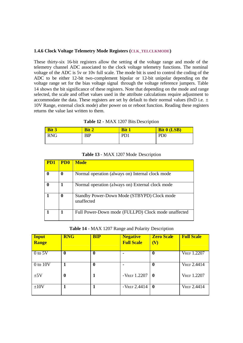#### **1.4.6 Clock Voltage Telemetry Mode Registers (CLK\_TELCLKMODE)**

These thirty-six 16-bit registers allow the setting of the voltage range and mode of the telemetry channel ADC associated to the clock voltage telemetry functions. The nominal voltage of the ADC is 5v or 10v full scale. The mode bit is used to control the coding of the ADC to be either 12-bit two-complement bipolar or 12-bit unipolar depending on the voltage range set for the bias voltage signal through the voltage reference jumpers. Table 14 shows the bit significance of these registers. Note that depending on the mode and range selected, the scale and offset values used in the attribute calculations require adjustment to accommodate the data. These registers are set by default to their normal values (0xD i.e.  $\pm$ 10V Range, external clock mode) after power on or reboot function. Reading these registers returns the value last written to them.

| Table 12 - MAX 1207 Bits Description |  |
|--------------------------------------|--|
|--------------------------------------|--|

| <b>Bit 3</b> | <b>Bit 2</b> | <b>Bit 1</b> | <b>Bit 0 (LSB)</b> |
|--------------|--------------|--------------|--------------------|
| <b>RNG</b>   | BIP          | PD1          | PD <sub>0</sub>    |

| Table 13 - MAX 1207 Mode Description |  |
|--------------------------------------|--|
|--------------------------------------|--|

| <b>PD0</b>  | <b>Mode</b>                                               |
|-------------|-----------------------------------------------------------|
| $\mathbf 0$ | Normal operation (always on) Internal clock mode          |
|             | Normal operation (always on) External clock mode          |
| 0           | Standby Power-Down Mode (STBYPD) Clock mode<br>unaffected |
|             | Full Power-Down mode (FULLPD) Clock mode unaffected       |

| Table 14 - MAX 1207 Range and Polarity Description |  |  |
|----------------------------------------------------|--|--|
|----------------------------------------------------|--|--|

| <b>Input</b><br><b>Range</b> | <b>RNG</b> | <b>BIP</b>       | <b>Negative</b><br><b>Full Scale</b> | <b>Zero Scale</b><br>$\mathbf{V}$ | <b>Full Scale</b>  |
|------------------------------|------------|------------------|--------------------------------------|-----------------------------------|--------------------|
| $0$ to 5V                    | 0          | $\boldsymbol{0}$ |                                      | $\mathbf 0$                       | <b>VREF 1.2207</b> |
| $0$ to $10V$                 |            | 0                |                                      | 0                                 | <b>VREF 2.4414</b> |
| ±5V                          | 0          |                  | $-$ VREF $1.2207$                    | -0                                | <b>VREF 1.2207</b> |
| ±10V                         |            |                  | $-$ VREF 2.4414                      | $\mathbf{0}$                      | <b>VREF 2.4414</b> |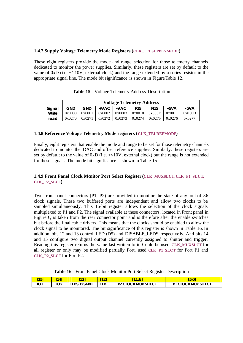#### **1.4.7 Supply Voltage Telemetry Mode Registers (CLK\_TELSUPPLYMODE)**

These eight registers pro vide the mode and range selection for those telemetry channels dedicated to monitor the power supplies. Similarly, these registers are set by default to the value of 0xD (i.e. +/-10V, external clock) and the range extended by a series resistor in the appropriate signal line. The mode bit significance is shown in Figure Table 12.

|        |            | <b>Voltage Telemetry Address</b> |        |        |                 |                 |        |        |  |  |  |  |
|--------|------------|----------------------------------|--------|--------|-----------------|-----------------|--------|--------|--|--|--|--|
| Signal | <b>GND</b> | <b>GND</b>                       | +VAC   | -VAC   | P <sub>15</sub> | N <sub>15</sub> | $+5VA$ | $-5VA$ |  |  |  |  |
| Write  | 0x0000     | 0x0001                           | 0x0002 | 0x0003 | 0x0010          | 0x000F          | 0x0011 | 0x000D |  |  |  |  |
| read   | 0x0270     | 0x0271                           | 0x0272 | 0x0273 | 0x0274          | 0x0275          | 0x0276 | 0x0277 |  |  |  |  |

|  |  |  |  | Table 15 - Voltage Telemetry Address Description |
|--|--|--|--|--------------------------------------------------|
|--|--|--|--|--------------------------------------------------|

#### **1.4.8 Reference Voltage Telemetry Mode registers (CLK\_TELREFMODE)**

Finally, eight registers that enable the mode and range to be set for those telemetry channels dedicated to monitor the DAC and offset reference supplies. Similarly, these registers are set by default to the value of  $0xD$  (i.e.  $+/10V$ , external clock) but the range is not extended for these signals. The mode bit significance is shown in Table 15.

#### **1.4.9 Front Panel Clock Monitor Port Select Register (CLK\_MUXSLCT, CLK\_ P1\_SLCT, CLK\_ P2\_SLCT)**

Two front panel connectors (P1, P2) are provided to monitor the state of any out of 36 clock signals. These two buffered ports are independent and allow two clocks to be sampled simultaneously. This 16-bit register allows the selection of the clock signals multiplexed to P1 and P2. The signal available at these connectors, located in Front panel in Figure 6, is taken from the rear connector point and is therefore after the enable switches but before the final cable drivers. This means that the clocks should be enabled to allow the clock signal to be monitored. The bit significance of this register is shown in Table 16. In addition, bits 12 and 13 control LED (D5) and DISABLE\_LEDS respective ly. And bits 14 and 15 configure two digital output channel currently assigned to shutter and trigger. Reading this register returns the value last written to it. Could be used **CLK\_MUXSLCT** for all register or only may be modified partially Port, used **CLK\_ P1\_SLCT** for Port P1 and **CLK\_ P2\_SLCT** for Port P2.

**Table 16** - Front Panel Clock Monitor Port Select Register Description

| 15 <sub>h</sub> | Δ1              | [13]                          | <b>T401</b><br>1 Z | <b>MA</b><br>7.O | 5:0                        |
|-----------------|-----------------|-------------------------------|--------------------|------------------|----------------------------|
| $\sim$<br>טו    | IO <sub>2</sub> | <b>DISABLE</b><br><b>LEDS</b> | LED                | MUX SELECT<br>DС | <b>CK MUX SELECT</b><br>D4 |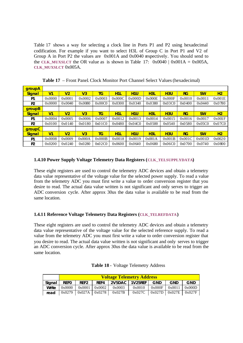Table 17 shows a way for selecting a clock line in Ports P1 and P2 using hexadecimal codification. For example if you want to select H3L of Group C in Port P1 and V2 of Group A in Port P2 the values are 0x001A and 0x0040 respectively. You should send to the CLK MUXSLCT the OR value as is shown in Table 17:  $0x0040$  |  $0x001A = 0x005A$ , **CLK\_MUXSLCT** 0x005A.

| <b>groupA</b>  |                |                |                |        |                |            |                 |        |        |           |        |
|----------------|----------------|----------------|----------------|--------|----------------|------------|-----------------|--------|--------|-----------|--------|
| <b>Signal</b>  | V <sub>1</sub> | V <sub>2</sub> | V <sub>3</sub> | TG.    | H <sub>1</sub> | <b>H1U</b> | H <sub>3L</sub> | H3U    | RG     | <b>SW</b> | H2     |
| P1             | 0x0000         | 0x0001         | 0x0002         | 0x0003 | 0x000C         | 0x000D     | 0x000E          | 0x000F | 0x0010 | 0x0011    | 0x001E |
| P <sub>2</sub> | 0x0000         | 0x0040         | 0x0080         | 0x00C0 | 0x0300         | 0x0340     | 0x0380          | 0x03C0 | 0x0400 | 0x0440    | 0x0780 |
| groupB         |                |                |                |        |                |            |                 |        |        |           |        |
| <b>Signal</b>  | V <sub>1</sub> | V <sub>2</sub> | V3             | TG     | H <sub>1</sub> | <b>H1U</b> | H <sub>3L</sub> | H3U    | RG     | <b>SW</b> | H2     |
| P1             | 0x0004         | 0x0005         | 0x0006         | 0x0007 | 0x0012         | 0x0013     | 0x0014          | 0x0015 | 0x0016 | 0x0017    | 0x001F |
| P <sub>2</sub> | 0x0100         | 0x0140         | 0x0180         | 0x01C0 | 0x0480         | 0x04C0     | 0x0500          | 0x0540 | 0x0580 | 0x05C0    | 0x07C0 |
| <b>groupC</b>  |                |                |                |        |                |            |                 |        |        |           |        |
| <b>Signal</b>  | V1             | V <sub>2</sub> | V3             | TG.    | H <sub>1</sub> | <b>H1U</b> | H3L             | H3U    | RG     | <b>SW</b> | H2     |
| P <sub>1</sub> | 0x0008         | 0x0009         | 0x000A         | 0x000B | 0x0018         | 0x0019     | 0x001A          | 0x001B | 0x001C | 0x001D    | 0x0020 |
| P <sub>2</sub> | 0x0200         | 0x0240         | 0x0280         | 0x02C0 | 0x0600         | 0x0640     | 0x0680          | 0x06C0 | 0x0700 | 0x0740    | 0x0800 |

**Table 17** – Front Panel. Clock Monitor Port Channel Select Values (hexadecimal)

#### **1.4.10 Power Supply Voltage Telemetry Data Registers (CLK\_TELSUPPLYDATA)**

These eight registers are used to control the telemetry ADC devices and obtain a telemetry data value representative of the voltage value for the selected power supply. To read a value from the telemetry ADC you must first write a value to order conversion register that you desire to read. The actual data value written is not significant and only serves to trigger an ADC conversion cycle. After approx 30us the data value is available to be read from the same location.

#### **1.4.11 Reference Voltage Telemetry Data Registers (CLK\_TELREFDATA)**

These eight registers are used to control the telemetry ADC devices and obtain a telemetry data value representative of the voltage value for the selected reference supply. To read a value from the telemetry ADC you must first write a value to order conversion register that you desire to read. The actual data value written is not significant and only serves to trigger an ADC conversion cycle. After approx 30us the data value is available to be read from the same location.

|        |             | <b>Voltage Telemetry Address</b> |                     |                |        |            |            |            |  |  |  |  |  |
|--------|-------------|----------------------------------|---------------------|----------------|--------|------------|------------|------------|--|--|--|--|--|
| Sianal | <b>REFO</b> | REF <sub>2</sub>                 | <b>REF4</b>         | 2V5DAC 1V25REF |        | <b>GND</b> | <b>GND</b> | <b>GND</b> |  |  |  |  |  |
| Write  | 0x0000      | 0x0001                           | 0x0002              | 0x0003         | 0x0010 | 0x000F     | 0x0011     | 0x000D     |  |  |  |  |  |
| read   | 0x0279      |                                  | $0x027A$   $0x0278$ | 0x027B         | 0x027C | 0x027D     | 0x027E     | 0x027F     |  |  |  |  |  |

|  | Table 18 - Voltage Telemetry Address |  |  |  |
|--|--------------------------------------|--|--|--|
|--|--------------------------------------|--|--|--|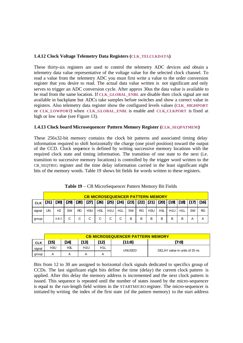#### **1.4.12 Clock Voltage Telemetry Data Registers (CLK\_TELCLKDATA)**

These thirty-six registers are used to control the telemetry ADC devices and obtain a telemetry data value representative of the voltage value for the selected clock channel. To read a value from the telemetry ADC you must first write a value to the order conversion register that you desire to read. The actual data value written is not significant and only serves to trigger an ADC conversion cycle. After approx 30us the data value is available to be read from the same location. If **CLK\_GLOBAL\_ENBL** are disable then clock signal are not available in backplane but ADCs take samples before switches and show a correct value in registers. Also telemetry data register show the configured levels values (**CLK\_ HIGHPORT** or **CLK\_LOWPORT**) when **CLK\_GLOBAL\_ENBL** is enable and **CLK\_CLKPORT** is fixed at high or low value (see Figure 13).

#### **1.4.13 Clock board Microsequencer Pattern Memory Register (CLK\_SEQPATMEM)**

These 256x32-bit memory contains the clock bit patterns and associated timing delay information required to shift horizontally the charge (one pixel position) toward the output of the CCD. Clock sequence is defined by writing successive memory locations with the required clock state and timing information. The transition of one state to the next (i.e. transition to successive memory locations) is controlled by the trigger word written to the CB\_SEQTRIG register and the time delay information carried in the least significant eight bits of the memory words. Table 19 shows bit fields for words written to these registers.

|            |        | <b>CB MICROSEQUENCER PATTERN MEMORY</b> |        |        |                  |                  |                  |                    |           |    |     |                           |                  |      |           |           |
|------------|--------|-----------------------------------------|--------|--------|------------------|------------------|------------------|--------------------|-----------|----|-----|---------------------------|------------------|------|-----------|-----------|
| <b>CLK</b> | $[31]$ | $[30]$                                  | $[29]$ | $[28]$ | $[27]$           | $[26]$           |                  | [25]   [24]   [23] |           |    |     | [22]   [21]   [20]   [19] |                  | [18] | [17]      | $ $ [16]  |
| signal     | UN.    | H <sub>2</sub>                          | SW     | RG     | H <sub>3</sub> U | H <sub>3</sub> L | H <sub>1</sub> U | H <sub>1</sub> L   | <b>SW</b> | RG | H3U | H <sub>3</sub> L          | H <sub>1</sub> U | H1L  | <b>SW</b> | <b>RG</b> |
| group      |        | A, B, C                                 | C      | С      | С                |                  | C                | С                  | B         | B  | B   | В                         | B                | В    | Α         | A         |

**Table 19** – CB MicroSequencer Pattern Memory Bit Fields

|            |      | <b>CB MICROSEQUENCER PATTERN MEMORY</b> |      |      |        |                               |
|------------|------|-----------------------------------------|------|------|--------|-------------------------------|
| <b>CLK</b> | [15] | [14]                                    | [13] | [12] | [11:8] | [7:0]                         |
| signal     | H3U  | H3L                                     | H1U  | H1L  | UNUSED | DELAY value in units of 25 ns |
| group      | A    |                                         | A    | Α    |        |                               |

Bits from 12 to 30 are assigned to horizontal clock signals dedicated to specifics group of CCDs. The last significant eight bits define the time (delay) the current clock pattern is applied. After this delay the memory address is incremented and the next clock pattern is issued. This sequence is repeated until the number of states issued by the micro-sequencer is equal to the run-length field written in the STARTMICRO register. The micro-sequencer is initiated by writing the index of the first state (of the pattern memory) to the start address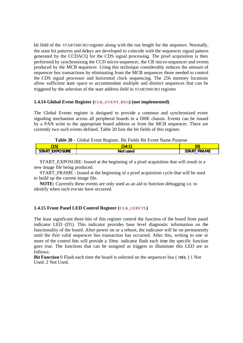bit field of the STARTMICRO register along with the run length for the sequence. Normally, the state bit patterns and delays are developed to coincide with the sequencer signal pattern generated by the CCDACQ for the CDS signal processing. The pixel acquisition is then performed by synchronizing the CCD micro-sequencer, the CB micro-sequencer and events produced by the MCB sequencer. Using this technique considerably reduces the amount of sequencer bus transactions by eliminating from the MCB sequencer those needed to control the CDS signal processor and horizontal clock sequencing. The 256 memory locations allow sufficient state space to accommodate multiple and distinct sequences that can be triggered by the selection of the start address field in STARTMICRO register.

#### **1.4.14 Global Event Register (CLK\_EVENT\_REG) (not implemented)**

The Global Events register is designed to provide a common and synchronized event signaling mechanism across all peripheral boards in a DHE chassis. Events can be issued by a PAN write to the appropriate board address or from the MCB sequencer. There are currently two such events defined. Table 20 lists the bit fields of this register.

| Table 20 - Global Event Register. Bit Fields Bit Event Name Purpose |  |  |  |  |  |  |  |  |  |  |
|---------------------------------------------------------------------|--|--|--|--|--|--|--|--|--|--|
|---------------------------------------------------------------------|--|--|--|--|--|--|--|--|--|--|

| 15 <sub>h</sub>            | 14.                | 'N<br>--                   |
|----------------------------|--------------------|----------------------------|
| <b>POSURE</b><br>START_EXL | <b>Not</b><br>used | FRAME<br><b>STAPT</b><br>. |
|                            |                    |                            |

START\_EXPOSURE: Issued at the beginning of a pixel acquisition that will result in a new image file being produced.

START FRAME : Issued at the beginning of a pixel acquisition cycle that will be used to build up the current image file.

**NOTE:** Currently these events are only used as an aid to function debugging i.e. to identify when such events have occurred.

#### **1.4.15 Front Panel LED Control Register (CLK\_LEDCTL)**

The least significant three bits of this register control the function of the board front panel indicator LED (D1). This indicator provides base level diagnostic information on the functionality of the board. After power on or a reboot, the indicator will be on permanently until the first valid sequencer bus transaction has occurred. After this, writing to one or more of the control bits will provide a 10ms indicator flash each time the specific function goes true. The functions that can be assigned as triggers to illuminate this LED are as follows:

**Bit Function** 0 Flash each time the board is selected on the sequencer bus ( **/SEL** ) 1 Not Used. 2 Not Used.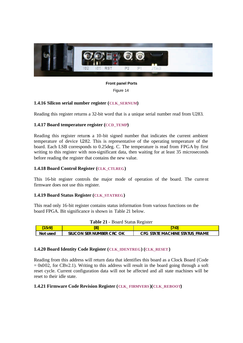

**Front panel Ports**

Figure 14

#### **1.4.16 Silicon serial number register (CLK\_SERNUM)**

Reading this register returns a 32-bit word that is a unique serial number read from U283.

#### **1.4.17 Board temperature register (CCD\_TEMP)**

Reading this register returns a 10-bit signed number that indicates the current ambient temperature of device U282. This is representative of the operating temperature of the board. Each LSB corresponds to 0.25deg. C. The temperature is read from FPGA by first writing to this register with non-significant data, then waiting for at least 35 microseconds before reading the register that contains the new value.

#### **1.4.18 Board Control Register (CLK\_CTLREG)**

This 16-bit register controls the major mode of operation of the board. The current firmware does not use this register.

#### **1.4.19 Board Status Register (CLK\_STATREG)**

This read only 16-bit register contains status information from various functions on the board FPGA. Bit significance is shown in Table 21 below.

|          | <b>Table 21 - Board Status Register</b> |                                |
|----------|-----------------------------------------|--------------------------------|
| 15:91    |                                         | [7:0]                          |
| Not used | SILICON SER NUMBER CRC OK               | CFG STATE MACHINE STATUS FRAME |

#### **Table 21** - Board Status Register

#### **1.4.20 Board Identity Code Register (CLK\_IDENTREG) (CLK\_RESET)**

Reading from this address will return data that identifies this board as a Clock Board (Code  $= 0x002$ , for CBv2.1). Writing to this address will result in the board going through a soft reset cycle. Current configuration data will not be affected and all state machines will be reset to their idle state.

#### **1.4.21 Firmware Code Revision Register (CLK\_ FIRMVERS )(CLK\_REBOOT)**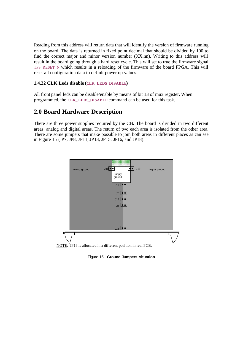Reading from this address will return data that will identify the version of firmware running on the board. The data is returned in fixed point decimal that should be divided by 100 to find the correct major and minor version number (XX.nn). Writing to this address will result in the board going through a hard reset cycle. This will set to true the firmware signal TPS\_RESET\_N which results in a reloading of the firmware of the board FPGA. This will reset all configuration data to default power up values.

#### **1.4.22 CLK Leds disable (CLK\_LEDS\_DISABLE)**

All front panel leds can be disable/enable by means of bit 13 of mux register. When programmed, the **CLK\_ LEDS\_DISABLE** command can be used for this task.

## **2.0 Board Hardware Description**

There are three power supplies required by the CB. The board is divided in two different areas, analog and digital areas. The return of two each area is isolated from the other area. There are some jumpers that make possible to join both areas in different places as can see in Figure 15 (JP7, JP8, JP11, JP13, JP15, JP16, and JP18).



Figure 15. **Ground Jumpers situation**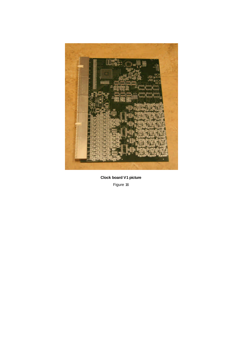

**Clock board V1 picture** Figure 16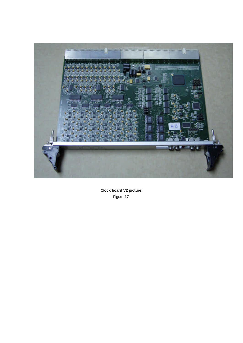

**Clock board V2 picture** Figure 17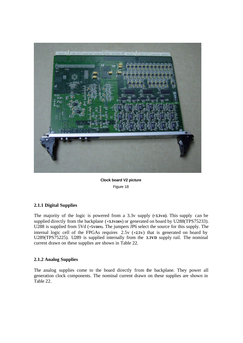

**Clock board V2 picture** Figure 18

#### **2.1.1 Digital Supplies**

The majority of the logic is powered from a 3.3v supply (**+3.3VD**). This supply can be supplied directly from the backplane ( $+3.3$ **VDIN**) or generated on board by U288(TPS75233). U288 is supplied from 5Vd (+5*VDIN*). The jumpers JP6 select the source for this supply. The internal logic cell of the FPGAs requires 2.5v (**+2.5V**) that is generated on board by U289(TPS75225). U289 is supplied internally from the **3.3VD** supply rail. The nominal current drawn on these supplies are shown in Table 22.

#### **2.1.2 Analog Supplies**

The analog supplies come to the board directly from the backplane. They power all generation clock components. The nominal current drawn on these supplies are shown in Table 22.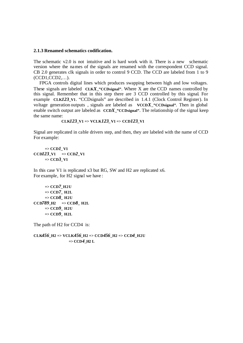#### **2.1.3 Renamed schematics codification.**

The schematic v2.0 is not intuitive and is hard work with it. There is a new schematic version where the names of the signals are renamed with the correspondent CCD signal. CB 2.0 generates clk signals in order to control 9 CCD. The CCD are labeled from 1 to 9 (CCD1,CCD2,…).

FPGA controls digital lines which produces swapping between high and low voltages. These signals are labeled **CLKX** "CCDsignal". Where X are the CCD names controlled by this signal. Remember that in this step there are 3 CCD controlled by this signal. For example **CLK***123***\_V1**. "CCDsignals" are described in 1.4.1 (Clock Control Register). In voltage generation outputs , signals are labeled as **VCCD***X***\_"CCDsignal"**. Then in global enable switch output are labeled as **CCD***X* "**CCDsignal**". The relationship of the signal keep the same name:

**CLK***123***\_V1 => VCLK***123***\_V1 => CCD***123***\_V1**

Signal are replicated in cable drivers step, and then, they are labeled with the name of CCD For example:

 $\Rightarrow$  **CCD***l*\_V<sub>1</sub>  $CCD123 \text{ V1} \Rightarrow CCD2 \text{ V1}$ **=> CCD***3***\_V1**

In this case V1 is replicated x3 but RG, SW and H2 are replicated x6. For example, for H2 signal we have :

```
=> CCD7_H2U
     => CCD7_ H2L
     => CCD8_ H2U
CCD789 H2 \Rightarrow CCD8 H2L=> CCD9_ H2U
     => CCD9_ H2L
```
The path of H2 for CCD4 is:

**CLK***456***\_H2 => VCLK***456***\_H2 => CCD***456***\_H2 => CCD***4***\_H2U**  $\Rightarrow$  **CCD4**  $\text{H2}$  **L**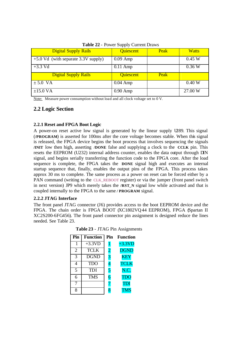|                                       | .                |             |              |
|---------------------------------------|------------------|-------------|--------------|
| <b>Digital Supply Rails</b>           | Quiescent        | <b>Peak</b> | <b>Watts</b> |
| $+5.0$ Vd (with separate 3.3V supply) | $0.09$ Amp       |             | 0.45 W       |
| $+3.3$ Vd                             | $0.11$ Amp       |             | 0.36W        |
| <b>Digital Supply Rails</b>           | <b>Quiescent</b> | <b>Peak</b> |              |
| $\pm 5.0$ VA                          | $0.04$ Amp       |             | 0.40 W       |
| $\pm 15.0 \text{ VA}$                 | $0.90$ Amp       |             | 27.00 W      |

**Table 22** - Power Supply Current Draws

Note: Measure power consumption without load and all clock voltage set to 0 V.

### **2.2 Logic Section**

#### **2.2.1 Reset and FPGA Boot Logic**

A power-on reset active low signal is generated by the linear supply U289. This signal (**/PROGRAM**) is asserted for 100ms after the core voltage becomes stable. When this signal is released, the FPGA device begins the boot process that involves sequencing the signals **/INIT** low then high, asserting **/DONE** false and supplying a clock to the **CCLK** pin. This resets the EEPROM (U232) internal address counter, enables the data output through DIN signal, and begins serially transferring the function code to the FPGA core. After the load sequence is complete, the FPGA takes the **DONE** signal high and executes an internal startup sequence that, finally, enables the output pins of the FPGA. This process takes approx 30 ms to complete. The same process as a power on reset can be forced either by a PAN command (writing to the CLK\_REBOOT register) or via the jumper (front panel switch in next version) JP9 which merely takes the **/RST\_N** signal low while activated and that is coupled internally to the FPGA to the same **/ PROGRAM** signal.

#### **2.2.2 JTAG Interface**

The front panel JTAG connector (J6) provides access to the boot EEPROM device and the FPGA. The chain order is FPGA BOOT (XC1802VQ44 EEPROM), FPGA (Spartan II XC2S200-6FG456). The front panel connector pin assignment is designed reduce the lines needed. See Table 23.

| Pin | <b>Function</b> | Pin                       | Function    |
|-----|-----------------|---------------------------|-------------|
| 1   | $+3.3VD$        | 1                         | $+3.3VD$    |
| 2   | <b>TCLK</b>     | $\overline{c}$            | <b>DGND</b> |
| 3   | <b>DGND</b>     | $\overline{\overline{3}}$ | <b>KEY</b>  |
|     | <b>TDO</b>      | $\overline{\mathcal{A}}$  | <b>TCLK</b> |
| 5   | TDI             | 5                         | N.C.        |
| 6   | <b>TMS</b>      | $\overline{6}$            | TDO         |
|     |                 | 7                         | TDI         |
|     |                 | 8                         | <b>TMS</b>  |

**Table 23** - JTAG Pin Assignments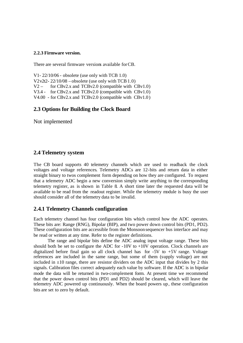#### **2.2.3 Firmware version.**

There are several firmware versions available for CB.

V1- 22/10/06 - obsolete (use only with TCB 1.0)  $V2v2t2-22/10/08 - 60$  bsolete (use only with TCB 1.0) V2 – for CBv2.x and TCBv2.0 (compatible with CBv1.0) V3.4 - for CBv2.x and TCBv2.0 (compatible with CBv1.0) V4.00 - for CBv2.x and TCBv2.0 (compatible with CBv1.0)

#### **2.3 Options for Building the Clock Board**

Not implemented

#### **2.4 Telemetry system**

The CB board supports 40 telemetry channels which are used to readback the clock voltages and voltage references. Telemetry ADCs are 12-bits and return data in either straight binary to twos complement form depending on how they are configured. To request that a telemetry ADC begin a new conversion simply write anything to the corresponding telemetry register, as is shown in Table 8. A short time later the requested data will be available to be read from the readout register. While the telemetry module is busy the user should consider all of the telemetry data to be invalid.

#### **2.4.1 Telemetry Channels configuration**

Each telemetry channel has four configuration bits which control how the ADC operates. These bits are: Range (RNG), Bipolar (BIP), and two power down control bits (PD1, PD2). These configuration bits are accessible from the Monsoon sequencer bus interface and may be read or written at any time. Refer to the register definitions.

The range and bipolar bits define the ADC analog input voltage range. These bits should both be set to configure the ADC for -10V to +10V operation. Clock channels are digitalized before final gain so all clock channel has for -5V to +5V range. Voltage references are included in the same range, but some of them (supply voltage) are not included in  $\pm 10$  range, there are resistor dividers on the ADC input that divides by 2 this signals. Calibration files correct adequately each value by software. If the ADC is in bipolar mode the data will be returned in two-complement form. At present time we recommend that the power down control bits (PD1 and PD2) should be cleared, which will leave the telemetry ADC powered up continuously. When the board powers up, these configuration bits are set to zero by default.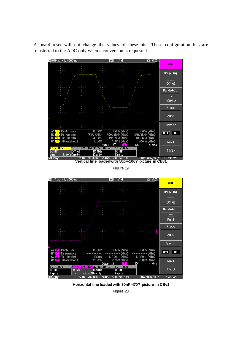A board reset will not change the values of these bits. These configuration bits are transferred to the ADC only when a conversion is requested.



Figure 19



**Horizontal line loaded with 30nF-470? picture in CBv1**

Figure 20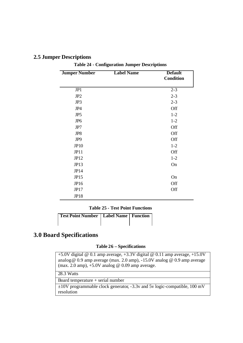#### **2.5 Jumper Descriptions**

| <b>Jumper Number</b> | <b>Label Name</b> | <b>Default</b><br><b>Condition</b> |
|----------------------|-------------------|------------------------------------|
| JP1                  |                   | $2 - 3$                            |
| JP <sub>2</sub>      |                   | $2 - 3$                            |
| JP3                  |                   | $2 - 3$                            |
| JP4                  |                   | Off                                |
| JP <sub>5</sub>      |                   | $1-2$                              |
| JP <sub>6</sub>      |                   | $1-2$                              |
| JP7                  |                   | Off                                |
| JP8                  |                   | Off                                |
| JP9                  |                   | Off                                |
| <b>JP10</b>          |                   | $1-2$                              |
| JP11                 |                   | Off                                |
| JP12                 |                   | $1 - 2$                            |
| JP13                 |                   | On                                 |
| JP14                 |                   |                                    |
| JPI5                 |                   | On                                 |
| JP16                 |                   | Off                                |
| JP17                 |                   | Off                                |
| <b>JP18</b>          |                   |                                    |

**Table 24 - Configuration Jumper Descriptions**

**Table 25 - Test Point Functions**

**Test Point Number | Label Name | Function** 

## **3.0 Board Specifications**

#### **Table 26 – Specifications**

+5.0V digital @ 0.1 amp average, +3.3V digital @ 0.11 amp average, +15.0V analog @ 0.9 amp average (max. 2.0 amp), -15.0V analog @ 0.9 amp average (max. 2.0 amp),  $+5.0V$  analog @ 0.09 amp average.

28.3 Watts

Board temperature + serial number

±10V programmable clock generator, -3.3v and 5v logic-compatible, 100 mV resolution